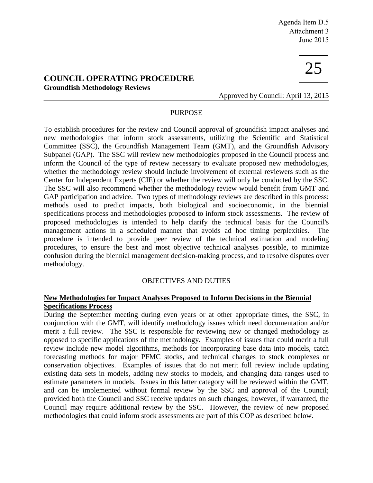# **COUNCIL OPERATING PROCEDURE Groundfish Methodology Reviews**



Approved by Council: April 13, 2015

## PURPOSE

To establish procedures for the review and Council approval of groundfish impact analyses and new methodologies that inform stock assessments, utilizing the Scientific and Statistical Committee (SSC), the Groundfish Management Team (GMT), and the Groundfish Advisory Subpanel (GAP). The SSC will review new methodologies proposed in the Council process and inform the Council of the type of review necessary to evaluate proposed new methodologies, whether the methodology review should include involvement of external reviewers such as the Center for Independent Experts (CIE) or whether the review will only be conducted by the SSC. The SSC will also recommend whether the methodology review would benefit from GMT and GAP participation and advice. Two types of methodology reviews are described in this process: methods used to predict impacts, both biological and socioeconomic, in the biennial specifications process and methodologies proposed to inform stock assessments. The review of proposed methodologies is intended to help clarify the technical basis for the Council's management actions in a scheduled manner that avoids ad hoc timing perplexities. procedure is intended to provide peer review of the technical estimation and modeling procedures, to ensure the best and most objective technical analyses possible, to minimize confusion during the biennial management decision-making process, and to resolve disputes over methodology.

### OBJECTIVES AND DUTIES

### **New Methodologies for Impact Analyses Proposed to Inform Decisions in the Biennial Specifications Process**

During the September meeting during even years or at other appropriate times, the SSC, in conjunction with the GMT, will identify methodology issues which need documentation and/or merit a full review. The SSC is responsible for reviewing new or changed methodology as opposed to specific applications of the methodology. Examples of issues that could merit a full review include new model algorithms, methods for incorporating base data into models, catch forecasting methods for major PFMC stocks, and technical changes to stock complexes or conservation objectives. Examples of issues that do not merit full review include updating existing data sets in models, adding new stocks to models, and changing data ranges used to estimate parameters in models. Issues in this latter category will be reviewed within the GMT, and can be implemented without formal review by the SSC and approval of the Council; provided both the Council and SSC receive updates on such changes; however, if warranted, the Council may require additional review by the SSC. However, the review of new proposed methodologies that could inform stock assessments are part of this COP as described below.